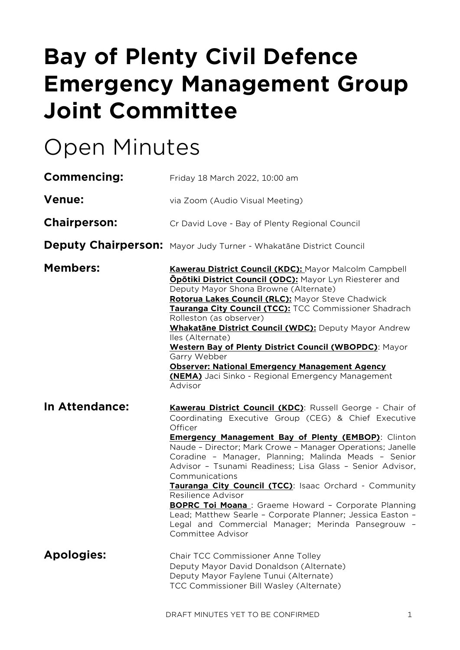# **Bay of Plenty Civil Defence Emergency Management Group Joint Committee**

# Open Minutes

| <b>Commencing:</b>  | Friday 18 March 2022, 10:00 am                                                                                                                                                                                                                                                                                                                                                                                                                                                                                                                                                                                                                                                          |  |  |
|---------------------|-----------------------------------------------------------------------------------------------------------------------------------------------------------------------------------------------------------------------------------------------------------------------------------------------------------------------------------------------------------------------------------------------------------------------------------------------------------------------------------------------------------------------------------------------------------------------------------------------------------------------------------------------------------------------------------------|--|--|
| <b>Venue:</b>       | via Zoom (Audio Visual Meeting)                                                                                                                                                                                                                                                                                                                                                                                                                                                                                                                                                                                                                                                         |  |  |
| <b>Chairperson:</b> | Cr David Love - Bay of Plenty Regional Council                                                                                                                                                                                                                                                                                                                                                                                                                                                                                                                                                                                                                                          |  |  |
|                     | Deputy Chairperson: Mayor Judy Turner - Whakatāne District Council                                                                                                                                                                                                                                                                                                                                                                                                                                                                                                                                                                                                                      |  |  |
| <b>Members:</b>     | <b>Kawerau District Council (KDC): Mayor Malcolm Campbell</b><br><b>Ōpōtiki District Council (ODC): Mayor Lyn Riesterer and</b><br>Deputy Mayor Shona Browne (Alternate)<br>Rotorua Lakes Council (RLC): Mayor Steve Chadwick<br>Tauranga City Council (TCC): TCC Commissioner Shadrach<br>Rolleston (as observer)<br>Whakatāne District Council (WDC): Deputy Mayor Andrew<br>lles (Alternate)<br>Western Bay of Plenty District Council (WBOPDC): Mayor<br>Garry Webber<br><b>Observer: National Emergency Management Agency</b><br>(NEMA) Jaci Sinko - Regional Emergency Management<br>Advisor                                                                                      |  |  |
| In Attendance:      | Kawerau District Council (KDC): Russell George - Chair of<br>Coordinating Executive Group (CEG) & Chief Executive<br>Officer<br><b>Emergency Management Bay of Plenty (EMBOP):</b> Clinton<br>Naude - Director; Mark Crowe - Manager Operations; Janelle<br>Coradine - Manager, Planning; Malinda Meads - Senior<br>Advisor - Tsunami Readiness; Lisa Glass - Senior Advisor,<br>Communications<br>Tauranga City Council (TCC): Isaac Orchard - Community<br>Resilience Advisor<br><b>BOPRC Toi Moana</b> : Graeme Howard - Corporate Planning<br>Lead; Matthew Searle - Corporate Planner; Jessica Easton -<br>Legal and Commercial Manager; Merinda Pansegrouw -<br>Committee Advisor |  |  |
| <b>Apologies:</b>   | Chair TCC Commissioner Anne Tolley<br>Deputy Mayor David Donaldson (Alternate)<br>Deputy Mayor Faylene Tunui (Alternate)<br>TCC Commissioner Bill Wasley (Alternate)                                                                                                                                                                                                                                                                                                                                                                                                                                                                                                                    |  |  |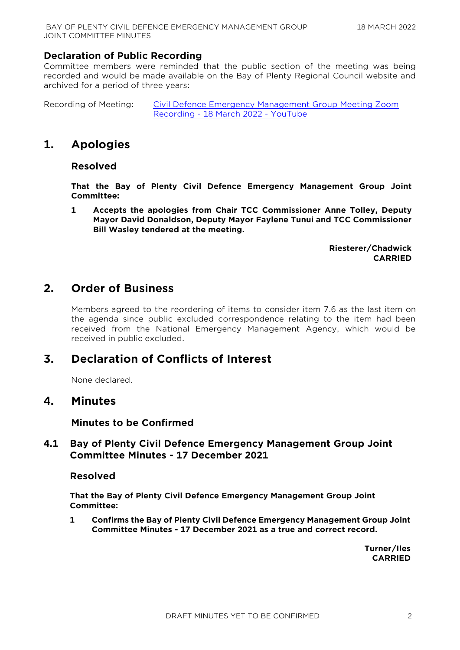# **Declaration of Public Recording**

Committee members were reminded that the public section of the meeting was being recorded and would be made available on the Bay of Plenty Regional Council website and archived for a period of three years:

Recording of Meeting: [Civil Defence Emergency Management Group Meeting Zoom](https://www.youtube.com/watch?v=z5NGGlsP50k)  Recording - [18 March 2022 -](https://www.youtube.com/watch?v=z5NGGlsP50k) YouTube

# **1. Apologies**

#### **Resolved**

**That the Bay of Plenty Civil Defence Emergency Management Group Joint Committee:**

**1 Accepts the apologies from Chair TCC Commissioner Anne Tolley, Deputy Mayor David Donaldson, Deputy Mayor Faylene Tunui and TCC Commissioner Bill Wasley tendered at the meeting.**

> **Riesterer/Chadwick CARRIED**

# **2. Order of Business**

Members agreed to the reordering of items to consider item 7.6 as the last item on the agenda since public excluded correspondence relating to the item had been received from the National Emergency Management Agency, which would be received in public excluded.

# **3. Declaration of Conflicts of Interest**

None declared.

# **4. Minutes**

**Minutes to be Confirmed**

# **4.1 Bay of Plenty Civil Defence Emergency Management Group Joint Committee Minutes - 17 December 2021**

#### **Resolved**

**That the Bay of Plenty Civil Defence Emergency Management Group Joint Committee:**

**1 Confirms the Bay of Plenty Civil Defence Emergency Management Group Joint Committee Minutes - 17 December 2021 as a true and correct record.**

> **Turner/Iles CARRIED**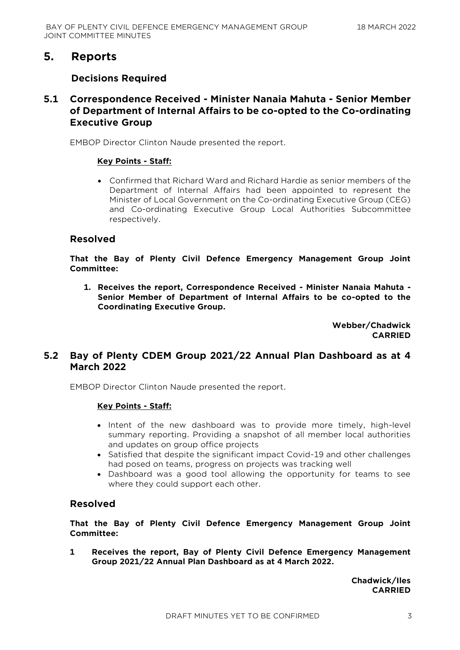# **5. Reports**

# **Decisions Required**

# **5.1 Correspondence Received - Minister Nanaia Mahuta - Senior Member of Department of Internal Affairs to be co-opted to the Co-ordinating Executive Group**

EMBOP Director Clinton Naude presented the report.

#### **Key Points - Staff:**

 Confirmed that Richard Ward and Richard Hardie as senior members of the Department of Internal Affairs had been appointed to represent the Minister of Local Government on the Co-ordinating Executive Group (CEG) and Co-ordinating Executive Group Local Authorities Subcommittee respectively.

#### **Resolved**

**That the Bay of Plenty Civil Defence Emergency Management Group Joint Committee:**

**1. Receives the report, Correspondence Received - Minister Nanaia Mahuta - Senior Member of Department of Internal Affairs to be co-opted to the Coordinating Executive Group.**

> **Webber/Chadwick CARRIED**

# **5.2 Bay of Plenty CDEM Group 2021/22 Annual Plan Dashboard as at 4 March 2022**

EMBOP Director Clinton Naude presented the report.

#### **Key Points - Staff:**

- Intent of the new dashboard was to provide more timely, high-level summary reporting. Providing a snapshot of all member local authorities and updates on group office projects
- Satisfied that despite the significant impact Covid-19 and other challenges had posed on teams, progress on projects was tracking well
- Dashboard was a good tool allowing the opportunity for teams to see where they could support each other.

# **Resolved**

**That the Bay of Plenty Civil Defence Emergency Management Group Joint Committee:**

**1 Receives the report, Bay of Plenty Civil Defence Emergency Management Group 2021/22 Annual Plan Dashboard as at 4 March 2022.**

> **Chadwick/Iles CARRIED**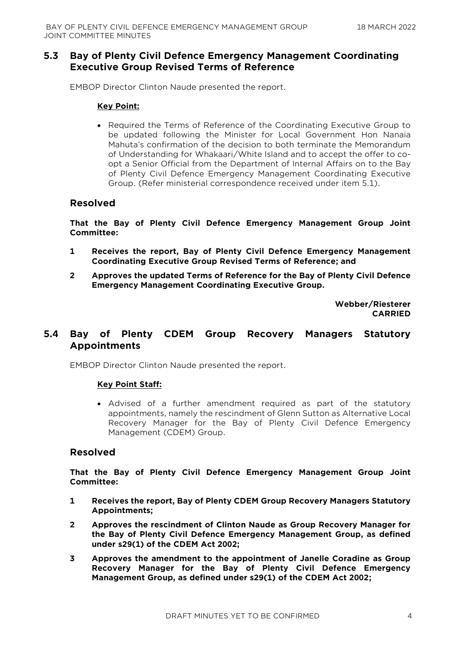# **5.3 Bay of Plenty Civil Defence Emergency Management Coordinating Executive Group Revised Terms of Reference**

EMBOP Director Clinton Naude presented the report.

#### **Key Point:**

• Required the Terms of Reference of the Coordinating Executive Group to be updated following the Minister for Local Government Hon Nanaia Mahuta's confirmation of the decision to both terminate the Memorandum of Understanding for Whakaari/White Island and to accept the offer to coopt a Senior Official from the Department of Internal Affairs on to the Bay of Plenty Civil Defence Emergency Management Coordinating Executive Group. (Refer ministerial correspondence received under item 5.1).

#### **Resolved**

**That the Bay of Plenty Civil Defence Emergency Management Group Joint Committee:**

- **1 Receives the report, Bay of Plenty Civil Defence Emergency Management Coordinating Executive Group Revised Terms of Reference; and**
- **2 Approves the updated Terms of Reference for the Bay of Plenty Civil Defence Emergency Management Coordinating Executive Group.**

**Webber/Riesterer CARRIED**

# **5.4 Bay of Plenty CDEM Group Recovery Managers Statutory Appointments**

EMBOP Director Clinton Naude presented the report.

#### **Key Point Staff:**

 Advised of a further amendment required as part of the statutory appointments, namely the rescindment of Glenn Sutton as Alternative Local Recovery Manager for the Bay of Plenty Civil Defence Emergency Management (CDEM) Group.

#### **Resolved**

**That the Bay of Plenty Civil Defence Emergency Management Group Joint Committee:**

- **1 Receives the report, Bay of Plenty CDEM Group Recovery Managers Statutory Appointments;**
- **2 Approves the rescindment of Clinton Naude as Group Recovery Manager for the Bay of Plenty Civil Defence Emergency Management Group, as defined under s29(1) of the CDEM Act 2002;**
- **3 Approves the amendment to the appointment of Janelle Coradine as Group Recovery Manager for the Bay of Plenty Civil Defence Emergency Management Group, as defined under s29(1) of the CDEM Act 2002;**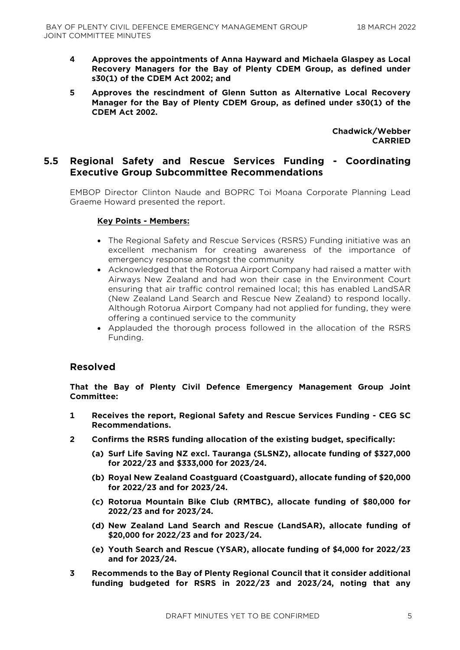- **4 Approves the appointments of Anna Hayward and Michaela Glaspey as Local Recovery Managers for the Bay of Plenty CDEM Group, as defined under s30(1) of the CDEM Act 2002; and**
- **5 Approves the rescindment of Glenn Sutton as Alternative Local Recovery Manager for the Bay of Plenty CDEM Group, as defined under s30(1) of the CDEM Act 2002.**

**Chadwick/Webber CARRIED**

#### **5.5 Regional Safety and Rescue Services Funding - Coordinating Executive Group Subcommittee Recommendations**

EMBOP Director Clinton Naude and BOPRC Toi Moana Corporate Planning Lead Graeme Howard presented the report.

#### **Key Points - Members:**

- The Regional Safety and Rescue Services (RSRS) Funding initiative was an excellent mechanism for creating awareness of the importance of emergency response amongst the community
- Acknowledged that the Rotorua Airport Company had raised a matter with Airways New Zealand and had won their case in the Environment Court ensuring that air traffic control remained local; this has enabled LandSAR (New Zealand Land Search and Rescue New Zealand) to respond locally. Although Rotorua Airport Company had not applied for funding, they were offering a continued service to the community
- Applauded the thorough process followed in the allocation of the RSRS Funding.

#### **Resolved**

**That the Bay of Plenty Civil Defence Emergency Management Group Joint Committee:**

- **1 Receives the report, Regional Safety and Rescue Services Funding - CEG SC Recommendations.**
- **2 Confirms the RSRS funding allocation of the existing budget, specifically:**
	- **(a) Surf Life Saving NZ excl. Tauranga (SLSNZ), allocate funding of \$327,000 for 2022/23 and \$333,000 for 2023/24.**
	- **(b) Royal New Zealand Coastguard (Coastguard), allocate funding of \$20,000 for 2022/23 and for 2023/24.**
	- **(c) Rotorua Mountain Bike Club (RMTBC), allocate funding of \$80,000 for 2022/23 and for 2023/24.**
	- **(d) New Zealand Land Search and Rescue (LandSAR), allocate funding of \$20,000 for 2022/23 and for 2023/24.**
	- **(e) Youth Search and Rescue (YSAR), allocate funding of \$4,000 for 2022/23 and for 2023/24.**
- **3 Recommends to the Bay of Plenty Regional Council that it consider additional funding budgeted for RSRS in 2022/23 and 2023/24, noting that any**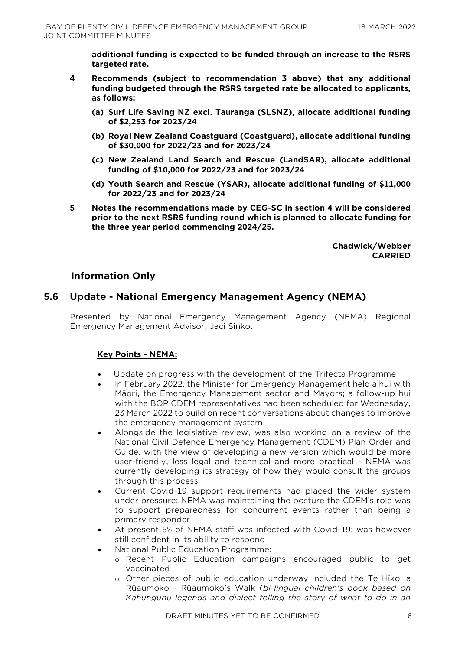**additional funding is expected to be funded through an increase to the RSRS targeted rate.** 

- **4 Recommends (subject to recommendation 3 above) that any additional funding budgeted through the RSRS targeted rate be allocated to applicants, as follows:**
	- **(a) Surf Life Saving NZ excl. Tauranga (SLSNZ), allocate additional funding of \$2,253 for 2023/24**
	- **(b) Royal New Zealand Coastguard (Coastguard), allocate additional funding of \$30,000 for 2022/23 and for 2023/24**
	- **(c) New Zealand Land Search and Rescue (LandSAR), allocate additional funding of \$10,000 for 2022/23 and for 2023/24**
	- **(d) Youth Search and Rescue (YSAR), allocate additional funding of \$11,000 for 2022/23 and for 2023/24**
- **5 Notes the recommendations made by CEG-SC in section 4 will be considered prior to the next RSRS funding round which is planned to allocate funding for the three year period commencing 2024/25.**

**Chadwick/Webber CARRIED**

# **Information Only**

# **5.6 Update - National Emergency Management Agency (NEMA)**

Presented by National Emergency Management Agency (NEMA) Regional Emergency Management Advisor, Jaci Sinko.

#### **Key Points - NEMA:**

- Update on progress with the development of the Trifecta Programme
- In February 2022, the Minister for Emergency Management held a hui with Māori, the Emergency Management sector and Mayors; a follow-up hui with the BOP CDEM representatives had been scheduled for Wednesday, 23 March 2022 to build on recent conversations about changes to improve the emergency management system
- Alongside the legislative review, was also working on a review of the National Civil Defence Emergency Management (CDEM) Plan Order and Guide, with the view of developing a new version which would be more user-friendly, less legal and technical and more practical - NEMA was currently developing its strategy of how they would consult the groups through this process
- Current Covid-19 support requirements had placed the wider system under pressure: NEMA was maintaining the posture the CDEM's role was to support preparedness for concurrent events rather than being a primary responder
- At present 5% of NEMA staff was infected with Covid-19; was however still confident in its ability to respond
- National Public Education Programme:
	- o Recent Public Education campaigns encouraged public to get vaccinated
	- o Other pieces of public education underway included the Te Hīkoi a Rūaumoko - Rūaumoko's Walk (*bi-lingual children's book based on Kahungunu legends and dialect telling the story of what to do in an*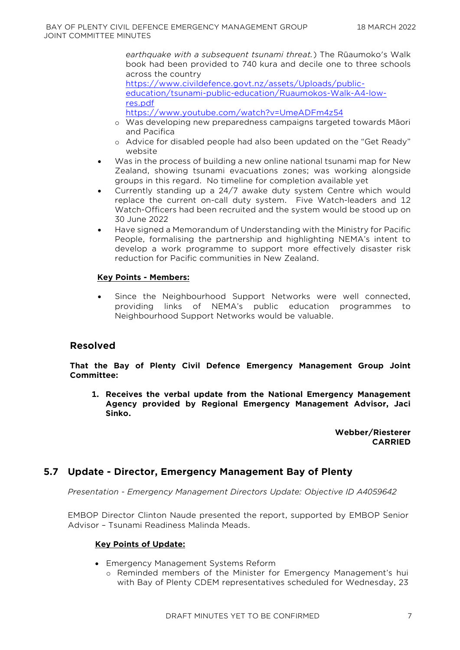*earthquake with a subsequent tsunami threat.*) The Rūaumoko's Walk book had been provided to 740 kura and decile one to three schools across the country

[https://www.civildefence.govt.nz/assets/Uploads/public](https://www.civildefence.govt.nz/assets/Uploads/public-education/tsunami-public-education/Ruaumokos-Walk-A4-low-res.pdf)[education/tsunami-public-education/Ruaumokos-Walk-A4-low](https://www.civildefence.govt.nz/assets/Uploads/public-education/tsunami-public-education/Ruaumokos-Walk-A4-low-res.pdf)[res.pdf](https://www.civildefence.govt.nz/assets/Uploads/public-education/tsunami-public-education/Ruaumokos-Walk-A4-low-res.pdf)

<https://www.youtube.com/watch?v=UmeADFm4z54>

- o Was developing new preparedness campaigns targeted towards Māori and Pacifica
- o Advice for disabled people had also been updated on the "Get Ready" website
- Was in the process of building a new online national tsunami map for New Zealand, showing tsunami evacuations zones; was working alongside groups in this regard. No timeline for completion available yet
- Currently standing up a 24/7 awake duty system Centre which would replace the current on-call duty system. Five Watch-leaders and 12 Watch-Officers had been recruited and the system would be stood up on 30 June 2022
- Have signed a Memorandum of Understanding with the Ministry for Pacific People, formalising the partnership and highlighting NEMA's intent to develop a work programme to support more effectively disaster risk reduction for Pacific communities in New Zealand.

#### **Key Points - Members:**

 Since the Neighbourhood Support Networks were well connected, providing links of NEMA's public education programmes to Neighbourhood Support Networks would be valuable.

# **Resolved**

#### **That the Bay of Plenty Civil Defence Emergency Management Group Joint Committee:**

**1. Receives the verbal update from the National Emergency Management Agency provided by Regional Emergency Management Advisor, Jaci Sinko.**

> **Webber/Riesterer CARRIED**

# **5.7 Update - Director, Emergency Management Bay of Plenty**

*Presentation - Emergency Management Directors Update: Objective ID A4059642* 

EMBOP Director Clinton Naude presented the report, supported by EMBOP Senior Advisor – Tsunami Readiness Malinda Meads.

#### **Key Points of Update:**

- Emergency Management Systems Reform
	- o Reminded members of the Minister for Emergency Management's hui with Bay of Plenty CDEM representatives scheduled for Wednesday, 23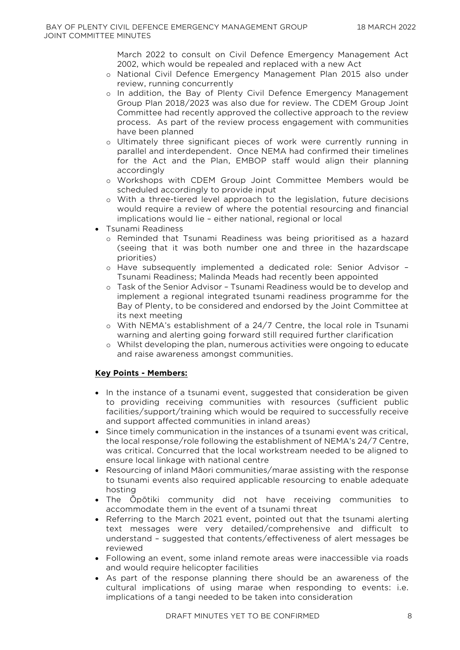March 2022 to consult on Civil Defence Emergency Management Act 2002, which would be repealed and replaced with a new Act

- o National Civil Defence Emergency Management Plan 2015 also under review, running concurrently
- o In addition, the Bay of Plenty Civil Defence Emergency Management Group Plan 2018/2023 was also due for review. The CDEM Group Joint Committee had recently approved the collective approach to the review process. As part of the review process engagement with communities have been planned
- o Ultimately three significant pieces of work were currently running in parallel and interdependent. Once NEMA had confirmed their timelines for the Act and the Plan, EMBOP staff would align their planning accordingly
- o Workshops with CDEM Group Joint Committee Members would be scheduled accordingly to provide input
- o With a three-tiered level approach to the legislation, future decisions would require a review of where the potential resourcing and financial implications would lie – either national, regional or local
- Tsunami Readiness
	- o Reminded that Tsunami Readiness was being prioritised as a hazard (seeing that it was both number one and three in the hazardscape priorities)
	- o Have subsequently implemented a dedicated role: Senior Advisor Tsunami Readiness; Malinda Meads had recently been appointed
	- o Task of the Senior Advisor Tsunami Readiness would be to develop and implement a regional integrated tsunami readiness programme for the Bay of Plenty, to be considered and endorsed by the Joint Committee at its next meeting
	- o With NEMA's establishment of a 24/7 Centre, the local role in Tsunami warning and alerting going forward still required further clarification
	- o Whilst developing the plan, numerous activities were ongoing to educate and raise awareness amongst communities.

#### **Key Points - Members:**

- In the instance of a tsunami event, suggested that consideration be given to providing receiving communities with resources (sufficient public facilities/support/training which would be required to successfully receive and support affected communities in inland areas)
- Since timely communication in the instances of a tsunami event was critical, the local response/role following the establishment of NEMA's 24/7 Centre, was critical. Concurred that the local workstream needed to be aligned to ensure local linkage with national centre
- Resourcing of inland Māori communities/marae assisting with the response to tsunami events also required applicable resourcing to enable adequate hosting
- The Ōpōtiki community did not have receiving communities to accommodate them in the event of a tsunami threat
- Referring to the March 2021 event, pointed out that the tsunami alerting text messages were very detailed/comprehensive and difficult to understand – suggested that contents/effectiveness of alert messages be reviewed
- Following an event, some inland remote areas were inaccessible via roads and would require helicopter facilities
- As part of the response planning there should be an awareness of the cultural implications of using marae when responding to events: i.e. implications of a tangi needed to be taken into consideration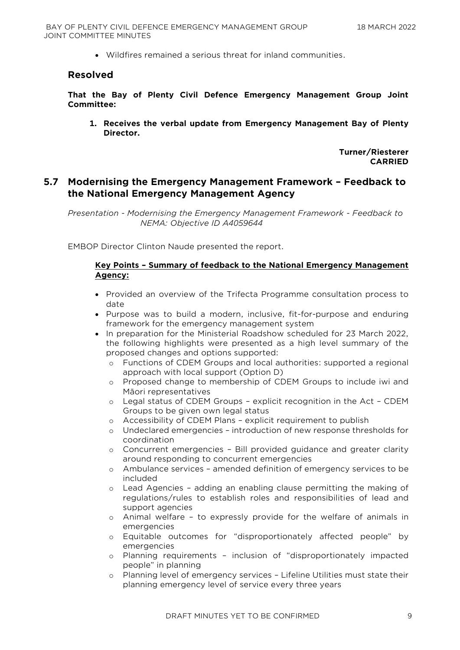Wildfires remained a serious threat for inland communities.

#### **Resolved**

**That the Bay of Plenty Civil Defence Emergency Management Group Joint Committee:**

**1. Receives the verbal update from Emergency Management Bay of Plenty Director.**

> **Turner/Riesterer CARRIED**

# **5.7 Modernising the Emergency Management Framework – Feedback to the National Emergency Management Agency**

*Presentation - Modernising the Emergency Management Framework - Feedback to NEMA: Objective ID A4059644* 

EMBOP Director Clinton Naude presented the report.

#### **Key Points – Summary of feedback to the National Emergency Management Agency:**

- Provided an overview of the Trifecta Programme consultation process to date
- Purpose was to build a modern, inclusive, fit-for-purpose and enduring framework for the emergency management system
- In preparation for the Ministerial Roadshow scheduled for 23 March 2022, the following highlights were presented as a high level summary of the proposed changes and options supported:
	- o Functions of CDEM Groups and local authorities: supported a regional approach with local support (Option D)
	- o Proposed change to membership of CDEM Groups to include iwi and Māori representatives
	- o Legal status of CDEM Groups explicit recognition in the Act CDEM Groups to be given own legal status
	- o Accessibility of CDEM Plans explicit requirement to publish
	- o Undeclared emergencies introduction of new response thresholds for coordination
	- o Concurrent emergencies Bill provided guidance and greater clarity around responding to concurrent emergencies
	- o Ambulance services amended definition of emergency services to be included
	- o Lead Agencies adding an enabling clause permitting the making of regulations/rules to establish roles and responsibilities of lead and support agencies
	- o Animal welfare to expressly provide for the welfare of animals in emergencies
	- o Equitable outcomes for "disproportionately affected people" by emergencies
	- o Planning requirements inclusion of "disproportionately impacted people" in planning
	- o Planning level of emergency services Lifeline Utilities must state their planning emergency level of service every three years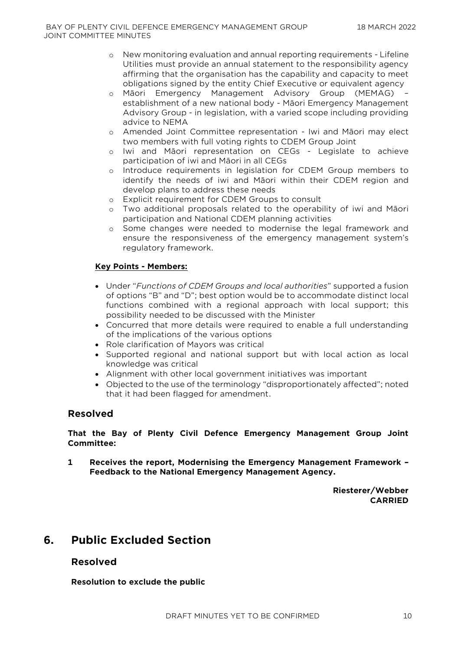- o New monitoring evaluation and annual reporting requirements Lifeline Utilities must provide an annual statement to the responsibility agency affirming that the organisation has the capability and capacity to meet obligations signed by the entity Chief Executive or equivalent agency
- o Māori Emergency Management Advisory Group (MEMAG) establishment of a new national body - Māori Emergency Management Advisory Group - in legislation, with a varied scope including providing advice to NEMA
- o Amended Joint Committee representation Iwi and Māori may elect two members with full voting rights to CDEM Group Joint
- o Iwi and Māori representation on CEGs Legislate to achieve participation of iwi and Māori in all CEGs
- o Introduce requirements in legislation for CDEM Group members to identify the needs of iwi and Māori within their CDEM region and develop plans to address these needs
- o Explicit requirement for CDEM Groups to consult
- o Two additional proposals related to the operability of iwi and Māori participation and National CDEM planning activities
- o Some changes were needed to modernise the legal framework and ensure the responsiveness of the emergency management system's regulatory framework.

#### **Key Points - Members:**

- Under "*Functions of CDEM Groups and local authorities*" supported a fusion of options "B" and "D"; best option would be to accommodate distinct local functions combined with a regional approach with local support; this possibility needed to be discussed with the Minister
- Concurred that more details were required to enable a full understanding of the implications of the various options
- Role clarification of Mayors was critical
- Supported regional and national support but with local action as local knowledge was critical
- Alignment with other local government initiatives was important
- Objected to the use of the terminology "disproportionately affected"; noted that it had been flagged for amendment.

# **Resolved**

**That the Bay of Plenty Civil Defence Emergency Management Group Joint Committee:**

**1 Receives the report, Modernising the Emergency Management Framework – Feedback to the National Emergency Management Agency.**

> **Riesterer/Webber CARRIED**

# **6. Public Excluded Section**

# **Resolved**

**Resolution to exclude the public**